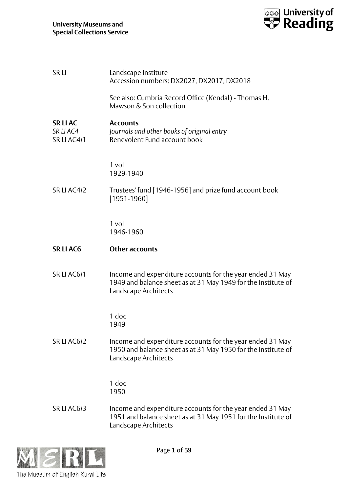

| <b>SRLI</b>                         | Landscape Institute<br>Accession numbers: DX2027, DX2017, DX2018                                                                                   |
|-------------------------------------|----------------------------------------------------------------------------------------------------------------------------------------------------|
|                                     | See also: Cumbria Record Office (Kendal) - Thomas H.<br>Mawson & Son collection                                                                    |
| SR LI AC<br>SR LIAC4<br>SR LI AC4/1 | <b>Accounts</b><br>Journals and other books of original entry<br>Benevolent Fund account book                                                      |
|                                     | 1 vol<br>1929-1940                                                                                                                                 |
| SR LI AC4/2                         | Trustees' fund [1946-1956] and prize fund account book<br>$[1951 - 1960]$                                                                          |
|                                     | $1$ vol<br>1946-1960                                                                                                                               |
| <b>SRLIAC6</b>                      | <b>Other accounts</b>                                                                                                                              |
| SR LI AC6/1                         | Income and expenditure accounts for the year ended 31 May<br>1949 and balance sheet as at 31 May 1949 for the Institute of<br>Landscape Architects |
|                                     | 1 doc<br>1949                                                                                                                                      |
| SR LI AC6/2                         | Income and expenditure accounts for the year ended 31 May<br>1950 and balance sheet as at 31 May 1950 for the Institute of<br>Landscape Architects |
|                                     | 1 doc<br>1950                                                                                                                                      |
| SR LI AC6/3                         | Income and expenditure accounts for the year ended 31 May<br>1951 and balance sheet as at 31 May 1951 for the Institute of<br>Landscape Architects |

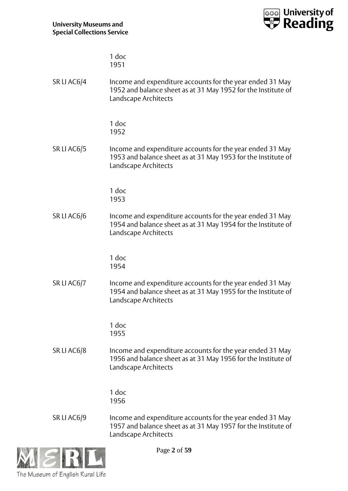

1 doc 1951

SR LI AC6/4 Income and expenditure accounts for the year ended 31 May 1952 and balance sheet as at 31 May 1952 for the Institute of Landscape Architects

> 1 doc 1952

SR LI AC6/5 Income and expenditure accounts for the year ended 31 May 1953 and balance sheet as at 31 May 1953 for the Institute of Landscape Architects

> 1 doc 1953

SR LI AC6/6 Income and expenditure accounts for the year ended 31 May 1954 and balance sheet as at 31 May 1954 for the Institute of Landscape Architects

> 1 doc 1954

SR LI AC6/7 Income and expenditure accounts for the year ended 31 May 1954 and balance sheet as at 31 May 1955 for the Institute of Landscape Architects

> 1 doc 1955

SR LI AC6/8 Income and expenditure accounts for the year ended 31 May 1956 and balance sheet as at 31 May 1956 for the Institute of Landscape Architects

> 1 doc 1956

SR LI AC6/9 Income and expenditure accounts for the year ended 31 May 1957 and balance sheet as at 31 May 1957 for the Institute of Landscape Architects



Page **2** of **59**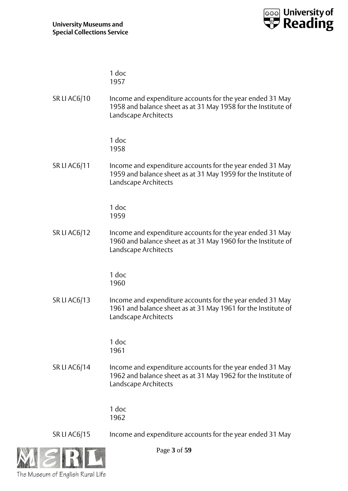

|                     | 1 doc<br>1957                                                                                                                                      |
|---------------------|----------------------------------------------------------------------------------------------------------------------------------------------------|
| SR LI AC6/10        | Income and expenditure accounts for the year ended 31 May<br>1958 and balance sheet as at 31 May 1958 for the Institute of<br>Landscape Architects |
|                     | 1 doc<br>1958                                                                                                                                      |
| SR LI AC6/11        | Income and expenditure accounts for the year ended 31 May<br>1959 and balance sheet as at 31 May 1959 for the Institute of<br>Landscape Architects |
|                     | 1 doc<br>1959                                                                                                                                      |
| <b>SR LI AC6/12</b> | Income and expenditure accounts for the year ended 31 May<br>1960 and balance sheet as at 31 May 1960 for the Institute of<br>Landscape Architects |
|                     | 1 doc<br>1960                                                                                                                                      |
| <b>SR LI AC6/13</b> | Income and expenditure accounts for the year ended 31 May<br>1961 and balance sheet as at 31 May 1961 for the Institute of<br>Landscape Architects |
|                     | 1 doc<br>1961                                                                                                                                      |
| <b>SR LI AC6/14</b> | Income and expenditure accounts for the year ended 31 May<br>1962 and balance sheet as at 31 May 1962 for the Institute of<br>Landscape Architects |
|                     | 1 doc<br>1962                                                                                                                                      |

The Museum of English Rural Life

Page **3** of **59**

SR LI AC6/15 Income and expenditure accounts for the year ended 31 May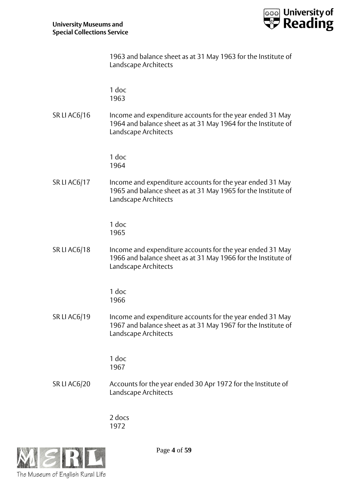

|                     | 1963 and balance sheet as at 31 May 1963 for the Institute of<br>Landscape Architects                                                              |
|---------------------|----------------------------------------------------------------------------------------------------------------------------------------------------|
|                     | 1 doc<br>1963                                                                                                                                      |
| <b>SR LI AC6/16</b> | Income and expenditure accounts for the year ended 31 May<br>1964 and balance sheet as at 31 May 1964 for the Institute of<br>Landscape Architects |
|                     | 1 doc<br>1964                                                                                                                                      |
| SR LI AC6/17        | Income and expenditure accounts for the year ended 31 May<br>1965 and balance sheet as at 31 May 1965 for the Institute of<br>Landscape Architects |
|                     | 1 doc<br>1965                                                                                                                                      |
| <b>SR LI AC6/18</b> | Income and expenditure accounts for the year ended 31 May<br>1966 and balance sheet as at 31 May 1966 for the Institute of<br>Landscape Architects |
|                     | 1 doc<br>1966                                                                                                                                      |
| <b>SR LI AC6/19</b> | Income and expenditure accounts for the year ended 31 May<br>1967 and balance sheet as at 31 May 1967 for the Institute of<br>Landscape Architects |

1967

1 doc

SR LI AC6/20 Accounts for the year ended 30 Apr 1972 for the Institute of Landscape Architects

> 2 docs 1972



Page **4** of **59**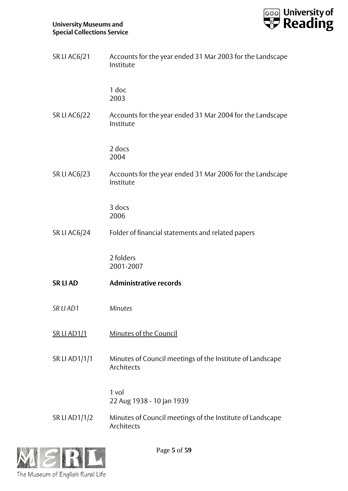

| <b>SR LI AC6/21</b>  | Accounts for the year ended 31 Mar 2003 for the Landscape<br>Institute  |
|----------------------|-------------------------------------------------------------------------|
|                      | 1 doc<br>2003                                                           |
| SR LI AC6/22         | Accounts for the year ended 31 Mar 2004 for the Landscape<br>Institute  |
|                      | 2 docs<br>2004                                                          |
| <b>SR LI AC6/23</b>  | Accounts for the year ended 31 Mar 2006 for the Landscape<br>Institute  |
|                      | 3 docs<br>2006                                                          |
| <b>SR LI AC6/24</b>  | Folder of financial statements and related papers                       |
|                      |                                                                         |
|                      | 2 folders<br>2001-2007                                                  |
| <b>SRLIAD</b>        | <b>Administrative records</b>                                           |
| SR LI AD1            | Minutes                                                                 |
| <u>SR LI AD1/1</u>   | Minutes of the Council                                                  |
| <b>SR LI AD1/1/1</b> | Minutes of Council meetings of the Institute of Landscape<br>Architects |
|                      | 1 vol<br>22 Aug 1938 - 10 Jan 1939                                      |



Page **5** of **59**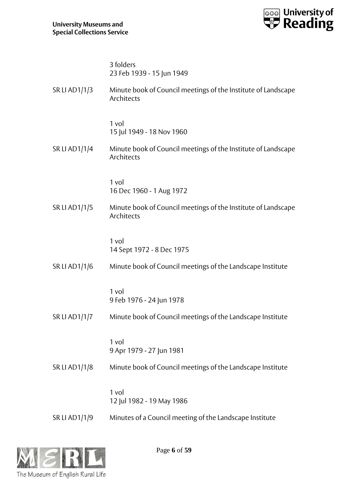

|                      | 3 folders<br>23 Feb 1939 - 15 Jun 1949                                      |
|----------------------|-----------------------------------------------------------------------------|
| SR LI AD1/1/3        | Minute book of Council meetings of the Institute of Landscape<br>Architects |
|                      | 1 vol<br>15 Jul 1949 - 18 Nov 1960                                          |
| SR LI AD1/1/4        | Minute book of Council meetings of the Institute of Landscape<br>Architects |
|                      | 1 vol<br>16 Dec 1960 - 1 Aug 1972                                           |
| SR LI AD1/1/5        | Minute book of Council meetings of the Institute of Landscape<br>Architects |
|                      | 1 vol<br>14 Sept 1972 - 8 Dec 1975                                          |
| SR LI AD1/1/6        | Minute book of Council meetings of the Landscape Institute                  |
|                      | 1 vol<br>9 Feb 1976 - 24 Jun 1978                                           |
| <b>SR LI AD1/1/7</b> | Minute book of Council meetings of the Landscape Institute                  |
|                      | 1 vol<br>9 Apr 1979 - 27 Jun 1981                                           |
| SR LI AD1/1/8        | Minute book of Council meetings of the Landscape Institute                  |
|                      | 1 vol<br>12 Jul 1982 - 19 May 1986                                          |
| SR LI AD1/1/9        | Minutes of a Council meeting of the Landscape Institute                     |



Page **6** of **59**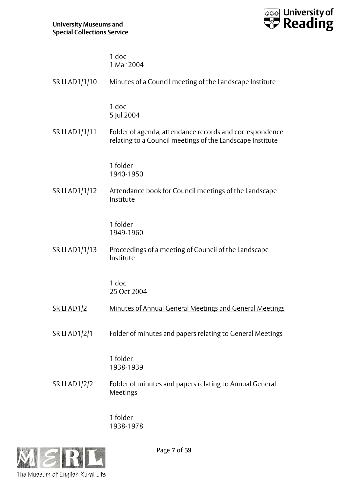

| 1 doc      |
|------------|
| 1 Mar 2004 |

| SR LI AD1/1/10     | Minutes of a Council meeting of the Landscape Institute                                                              |
|--------------------|----------------------------------------------------------------------------------------------------------------------|
|                    | $1$ doc<br>5 Jul 2004                                                                                                |
| SR LI AD1/1/11     | Folder of agenda, attendance records and correspondence<br>relating to a Council meetings of the Landscape Institute |
|                    | 1 folder<br>1940-1950                                                                                                |
| SR LI AD1/1/12     | Attendance book for Council meetings of the Landscape<br>Institute                                                   |
|                    | 1 folder<br>1949-1960                                                                                                |
| SR LI AD1/1/13     | Proceedings of a meeting of Council of the Landscape<br>Institute                                                    |
|                    | 1 doc<br>25 Oct 2004                                                                                                 |
| <u>SR LI AD1/2</u> | Minutes of Annual General Meetings and General Meetings                                                              |
| SR LI AD1/2/1      | Folder of minutes and papers relating to General Meetings                                                            |
|                    | 1 folder<br>1938-1939                                                                                                |
| SR LI AD1/2/2      | Folder of minutes and papers relating to Annual General<br>Meetings                                                  |
|                    |                                                                                                                      |

1 folder 1938-1978

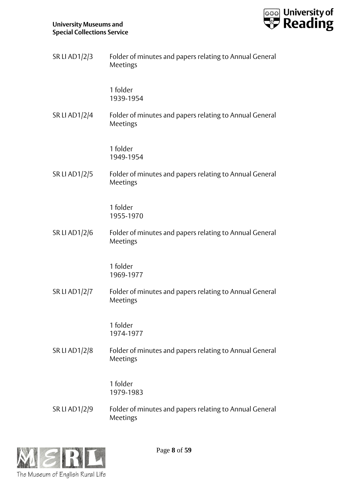

| SR LI AD1/2/3        | Folder of minutes and papers relating to Annual General<br>Meetings |
|----------------------|---------------------------------------------------------------------|
|                      | 1 folder<br>1939-1954                                               |
| <b>SR LI AD1/2/4</b> | Folder of minutes and papers relating to Annual General<br>Meetings |
|                      | 1 folder<br>1949-1954                                               |
| <b>SR LI AD1/2/5</b> | Folder of minutes and papers relating to Annual General<br>Meetings |
|                      | 1 folder<br>1955-1970                                               |
| SR LI AD1/2/6        | Folder of minutes and papers relating to Annual General<br>Meetings |
|                      | 1 folder<br>1969-1977                                               |
| <b>SR LI AD1/2/7</b> | Folder of minutes and papers relating to Annual General<br>Meetings |
|                      | 1 folder<br>1974-1977                                               |
| SR LI AD1/2/8        | Folder of minutes and papers relating to Annual General<br>Meetings |
|                      | 1 folder<br>1979-1983                                               |
| SR LI AD1/2/9        | Folder of minutes and papers relating to Annual General<br>Meetings |



Page **8** of **59**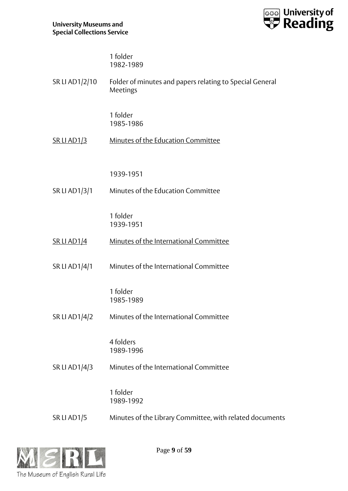

| 1 folder  |
|-----------|
| 1982-1989 |

| SR LI AD1/2/10       | Folder of minutes and papers relating to Special General<br>Meetings |
|----------------------|----------------------------------------------------------------------|
|                      | 1 folder<br>1985-1986                                                |
| <u>SR LI AD1/3</u>   | Minutes of the Education Committee                                   |
|                      | 1939-1951                                                            |
| SR LI AD1/3/1        | Minutes of the Education Committee                                   |
|                      | 1 folder<br>1939-1951                                                |
| <u>SR LI AD1/4</u>   | Minutes of the International Committee                               |
| <b>SR LI AD1/4/1</b> | Minutes of the International Committee                               |
|                      | 1 folder<br>1985-1989                                                |
| SR LI AD1/4/2        | Minutes of the International Committee                               |
|                      | 4 folders<br>1989-1996                                               |
| SR LI AD1/4/3        | Minutes of the International Committee                               |
|                      | 1 folder<br>1989-1992                                                |
| SR LI AD1/5          | Minutes of the Library Committee, with related documents             |



Page **9** of **59**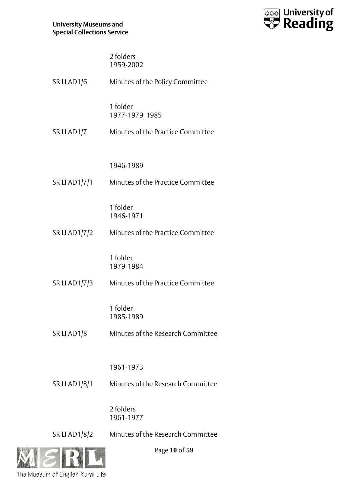

| 2 folders |
|-----------|
| 1959-2002 |

| SR LI AD1/6          | Minutes of the Policy Committee   |
|----------------------|-----------------------------------|
|                      | 1 folder<br>1977-1979, 1985       |
| SR LI AD1/7          | Minutes of the Practice Committee |
|                      | 1946-1989                         |
| <b>SR LI AD1/7/1</b> | Minutes of the Practice Committee |
|                      | 1 folder<br>1946-1971             |
| SR LI AD1/7/2        | Minutes of the Practice Committee |
|                      | 1 folder<br>1979-1984             |
| SR LI AD1/7/3        | Minutes of the Practice Committee |
|                      | 1 folder<br>1985-1989             |
| SR LI AD1/8          | Minutes of the Research Committee |
|                      | 1961-1973                         |
| <b>SR LI AD1/8/1</b> | Minutes of the Research Committee |
|                      | 2 folders<br>1961-1977            |
| <b>SRLIAD1/8/2</b>   | Minutes of the Research Committee |



Page **10** of **59**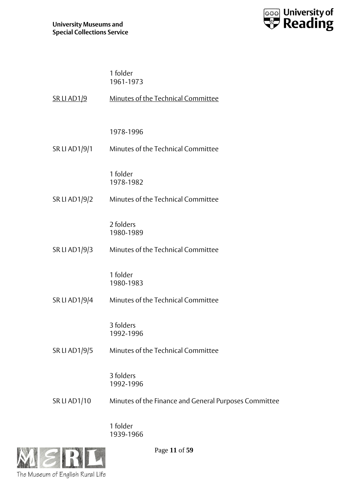

| 1 folder  |
|-----------|
| 1961-1973 |

| <u>SR LI AD1/9</u>   | Minutes of the Technical Committee          |
|----------------------|---------------------------------------------|
|                      | 1978-1996                                   |
| <b>SR LI AD1/9/1</b> | Minutes of the Technical Committee          |
|                      | 1 folder<br>1978-1982                       |
| SR LI AD1/9/2        | Minutes of the Technical Committee          |
|                      | 2 folders<br>1980-1989                      |
| SR LI AD1/9/3        | Minutes of the Technical Committee          |
|                      | 1 folder<br>1980-1983                       |
| SR LI AD1/9/4        | Minutes of the Technical Committee          |
|                      | 3 folders<br>1992-1996                      |
| SR LI AD1/9/5        | Minutes of the Technical Committee          |
|                      | 3 folders<br>1992-1996                      |
| <b>SR LI AD1/10</b>  | Minutes of the Finance and General Purposes |

1 folder 1939-1966



Page **11** of **59**

Committee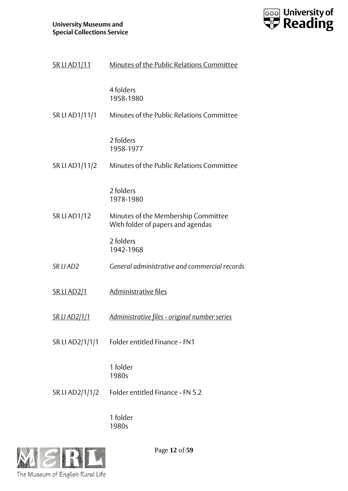

| <u>SR LI AD1/11</u>  | Minutes of the Public Relations Committee                                |
|----------------------|--------------------------------------------------------------------------|
|                      | 4 folders<br>1958-1980                                                   |
| SR LI AD1/11/1       | Minutes of the Public Relations Committee                                |
|                      | 2 folders<br>1958-1977                                                   |
| SR LI AD1/11/2       | Minutes of the Public Relations Committee                                |
|                      | 2 folders<br>1978-1980                                                   |
| <b>SR LI AD1/12</b>  | Minutes of the Membership Committee<br>With folder of papers and agendas |
|                      | 2 folders<br>1942-1968                                                   |
| SR LI AD2            | General administrative and commercial records                            |
| <b>SR LI AD2/1</b>   | Administrative files                                                     |
| <u>SR LI AD2/1/1</u> | <u> Administrative files - original number series</u>                    |
| SR LI AD2/1/1/1      | Folder entitled Finance - FN1                                            |
|                      | 1 folder<br>1980s                                                        |
| SR LI AD2/1/1/2      | Folder entitled Finance - FN 5.2                                         |
|                      |                                                                          |

1 folder 1980s



Page **12** of **59**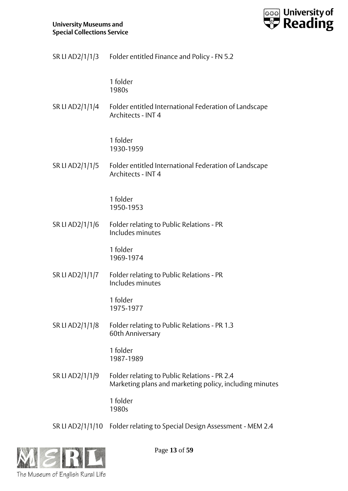

SR LI AD2/1/1/3 Folder entitled Finance and Policy - FN 5.2

1 folder 1980s

SR LI AD2/1/1/4 Folder entitled International Federation of Landscape Architects - INT 4

> 1 folder 1930-1959

SR LI AD2/1/1/5 Folder entitled International Federation of Landscape Architects - INT 4

> 1 folder 1950-1953

SR LI AD2/1/1/6 Folder relating to Public Relations - PR Includes minutes

> 1 folder 1969-1974

SR LI AD2/1/1/7 Folder relating to Public Relations - PR Includes minutes

> 1 folder 1975-1977

SR LI AD2/1/1/8 Folder relating to Public Relations - PR 1.3 60th Anniversary

> 1 folder 1987-1989

SR LI AD2/1/1/9 Folder relating to Public Relations - PR 2.4 Marketing plans and marketing policy, including minutes

> 1 folder 1980s

SR LI AD2/1/1/10 Folder relating to Special Design Assessment - MEM 2.4



Page **13** of **59**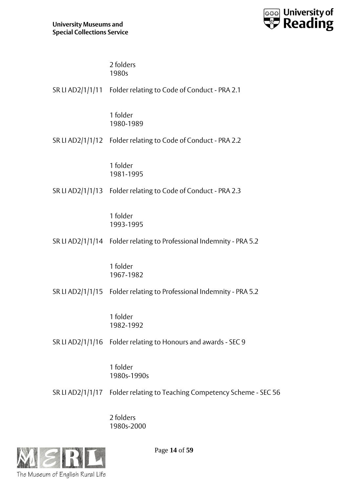

2 folders 1980s

| SR LI AD2/1/1/11 Folder relating to Code of Conduct - PRA 2.1           |
|-------------------------------------------------------------------------|
| 1 folder<br>1980-1989                                                   |
| SR LI AD2/1/1/12 Folder relating to Code of Conduct - PRA 2.2           |
| 1 folder<br>1981-1995                                                   |
| SR LI AD2/1/1/13 Folder relating to Code of Conduct - PRA 2.3           |
| 1 folder<br>1993-1995                                                   |
| SR LI AD2/1/1/14 Folder relating to Professional Indemnity - PRA 5.2    |
| 1 folder<br>1967-1982                                                   |
| SR LI AD2/1/1/15 Folder relating to Professional Indemnity - PRA 5.2    |
| 1 folder<br>1982-1992                                                   |
| SR LI AD2/1/1/16 Folder relating to Honours and awards - SEC 9          |
| 1 folder<br>1980s-1990s                                                 |
| SR LI AD2/1/1/17 Folder relating to Teaching Competency Scheme - SEC 56 |
|                                                                         |

2 folders 1980s-2000



Page **14** of **59**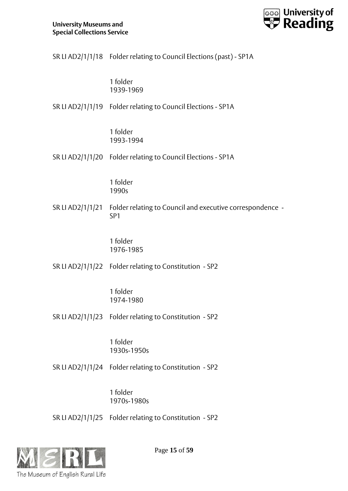

|                  | SR LI AD2/1/1/18 Folder relating to Council Elections (past) - SP1A          |
|------------------|------------------------------------------------------------------------------|
|                  | 1 folder<br>1939-1969                                                        |
|                  | SR LI AD2/1/1/19 Folder relating to Council Elections - SP1A                 |
|                  | 1 folder<br>1993-1994                                                        |
|                  | SR LI AD2/1/1/20 Folder relating to Council Elections - SP1A                 |
|                  | 1 folder<br>1990s                                                            |
| SR LI AD2/1/1/21 | Folder relating to Council and executive correspondence -<br>SP <sub>1</sub> |
|                  | 1 folder<br>1976-1985                                                        |
|                  | SR LI AD2/1/1/22 Folder relating to Constitution - SP2                       |
|                  | 1 folder<br>1974-1980                                                        |
|                  | SR LI AD2/1/1/23 Folder relating to Constitution - SP2                       |
|                  | 1 folder<br>1930s-1950s                                                      |
|                  | SR LI AD2/1/1/24 Folder relating to Constitution - SP2                       |
|                  | 1 folder<br>1970s-1980s                                                      |
|                  | SR LI AD2/1/1/25 Folder relating to Constitution - SP2                       |



Page **15** of **59**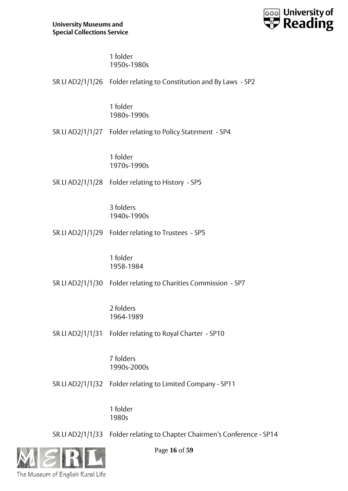

1 folder 1950s-1980s

|                  | SR LI AD2/1/1/26 Folder relating to Constitution and By Laws - SP2 |
|------------------|--------------------------------------------------------------------|
|                  | 1 folder<br>1980s-1990s                                            |
|                  | SR LI AD2/1/1/27 Folder relating to Policy Statement - SP4         |
|                  | 1 folder<br>1970s-1990s                                            |
|                  | SR LI AD2/1/1/28 Folder relating to History - SP5                  |
|                  | 3 folders<br>1940s-1990s                                           |
|                  | SR LI AD2/1/1/29 Folder relating to Trustees - SP5                 |
|                  | 1 folder<br>1958-1984                                              |
|                  | SR LI AD2/1/1/30 Folder relating to Charities Commission - SP7     |
|                  | 2 folders<br>1964-1989                                             |
|                  | SR LI AD2/1/1/31 Folder relating to Royal Charter - SP10           |
|                  | 7 folders<br>1990s-2000s                                           |
| SR LI AD2/1/1/32 | Folder relating to Limited Company - SP11                          |
|                  | 1 folder                                                           |

1980s

SR LI AD2/1/1/33 Folder relating to Chapter Chairmen's Conference - SP14



Page **16** of **59**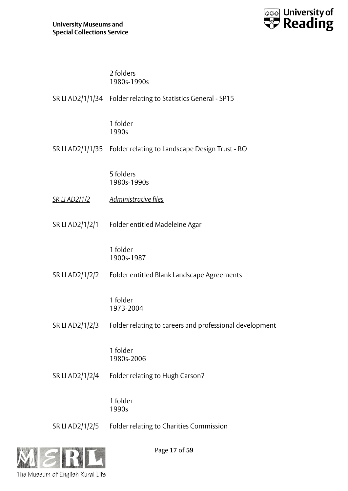

## 2 folders

|                      | 1980s-1990s                                                     |
|----------------------|-----------------------------------------------------------------|
|                      | SR LI AD2/1/1/34 Folder relating to Statistics General - SP15   |
|                      | 1 folder<br>1990s                                               |
|                      | SR LI AD2/1/1/35 Folder relating to Landscape Design Trust - RO |
|                      | 5 folders<br>1980s-1990s                                        |
| <u>SR LI AD2/1/2</u> | <u>Administrative files</u>                                     |
|                      | SR LI AD2/1/2/1 Folder entitled Madeleine Agar                  |
|                      | 1 folder<br>1900s-1987                                          |
| SR LI AD2/1/2/2      | Folder entitled Blank Landscape Agreements                      |
|                      | 1 folder<br>1973-2004                                           |
| SR LI AD2/1/2/3      | Folder relating to careers and professional development         |
|                      | 1 folder<br>1980s-2006                                          |
| SR LI AD2/1/2/4      | Folder relating to Hugh Carson?                                 |
|                      | 1 folder<br>1990s                                               |

SR LI AD2/1/2/5 Folder relating to Charities Commission



Page **17** of **59**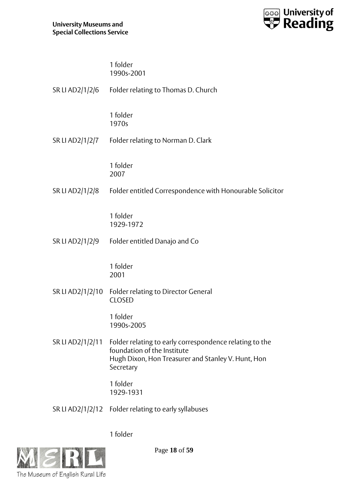

## 1 folder 1990s-2001

| SR LI AD2/1/2/6  | Folder relating to Thomas D. Church                                                                                                                                        |
|------------------|----------------------------------------------------------------------------------------------------------------------------------------------------------------------------|
|                  | 1 folder<br>1970s                                                                                                                                                          |
| SR LI AD2/1/2/7  | Folder relating to Norman D. Clark                                                                                                                                         |
|                  | 1 folder<br>2007                                                                                                                                                           |
| SR LI AD2/1/2/8  | Folder entitled Correspondence with Honourable Solicitor                                                                                                                   |
|                  | 1 folder<br>1929-1972                                                                                                                                                      |
| SR LI AD2/1/2/9  | Folder entitled Danajo and Co                                                                                                                                              |
|                  | 1 folder<br>2001                                                                                                                                                           |
| SR LI AD2/1/2/10 | Folder relating to Director General<br><b>CLOSED</b>                                                                                                                       |
|                  | 1 folder<br>1990s-2005                                                                                                                                                     |
|                  | SR LI AD2/1/2/11 Folder relating to early correspondence relating to the<br>foundation of the Institute<br>Hugh Dixon, Hon Treasurer and Stanley V. Hunt, Hon<br>Secretary |
|                  | 1 folder<br>1929-1931                                                                                                                                                      |
|                  | SR LI AD2/1/2/12 Folder relating to early syllabuses                                                                                                                       |

1 folder



Page **18** of **59**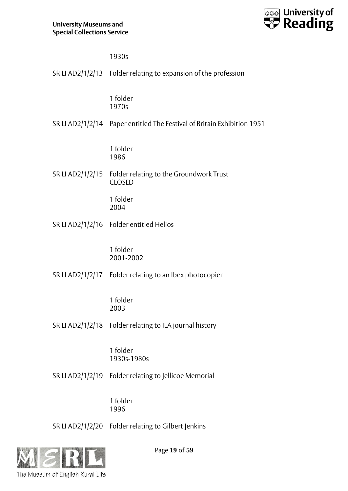

1930s

|                  | SR LI AD2/1/2/13 Folder relating to expansion of the profession         |
|------------------|-------------------------------------------------------------------------|
|                  | 1 folder<br>1970s                                                       |
|                  | SR LI AD2/1/2/14 Paper entitled The Festival of Britain Exhibition 1951 |
|                  | 1 folder<br>1986                                                        |
| SR LI AD2/1/2/15 | Folder relating to the Groundwork Trust<br><b>CLOSED</b>                |
|                  | 1 folder<br>2004                                                        |
|                  | SR LI AD2/1/2/16 Folder entitled Helios                                 |
|                  | 1 folder<br>2001-2002                                                   |
|                  | SR LI AD2/1/2/17 Folder relating to an Ibex photocopier                 |
|                  | 1 folder<br>2003                                                        |
| SR LI AD2/1/2/18 | Folder relating to ILA journal history                                  |
|                  | 1 folder<br>1930s-1980s                                                 |

SR LI AD2/1/2/19 Folder relating to Jellicoe Memorial

1 folder 1996

SR LI AD2/1/2/20 Folder relating to Gilbert Jenkins



Page **19** of **59**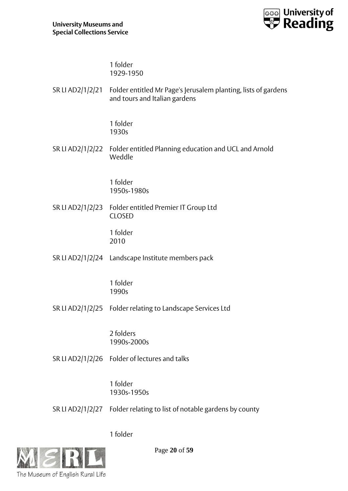

1 folder 1929-1950

SR LI AD2/1/2/21 Folder entitled Mr Page's Jerusalem planting, lists of gardens and tours and Italian gardens

> 1 folder 1930s

SR LI AD2/1/2/22 Folder entitled Planning education and UCL and Arnold Weddle

> 1 folder 1950s-1980s

SR LI AD2/1/2/23 Folder entitled Premier IT Group Ltd CLOSED

> 1 folder 2010

SR LI AD2/1/2/24 Landscape Institute members pack

1 folder 1990s

SR LI AD2/1/2/25 Folder relating to Landscape Services Ltd

2 folders 1990s-2000s

SR LI AD2/1/2/26 Folder of lectures and talks

1 folder 1930s-1950s

SR LI AD2/1/2/27 Folder relating to list of notable gardens by county

1 folder



Page **20** of **59**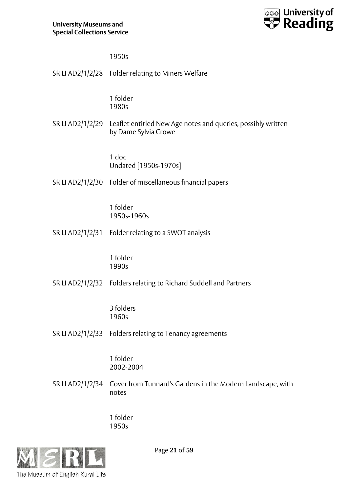

1950s

|                  | SR LI AD2/1/2/28 Folder relating to Miners Welfare                                   |
|------------------|--------------------------------------------------------------------------------------|
|                  | 1 folder<br>1980s                                                                    |
| SR LI AD2/1/2/29 | Leaflet entitled New Age notes and queries, possibly written<br>by Dame Sylvia Crowe |
|                  | 1 doc<br>Undated [1950s-1970s]                                                       |
|                  | SR LI AD2/1/2/30 Folder of miscellaneous financial papers                            |
|                  | 1 folder<br>1950s-1960s                                                              |
|                  | SR LI AD2/1/2/31 Folder relating to a SWOT analysis                                  |
|                  | 1 folder<br>1990s                                                                    |
|                  | SR LI AD2/1/2/32 Folders relating to Richard Suddell and Partners                    |
|                  | 3 folders<br>1960s                                                                   |
|                  | SR LI AD2/1/2/33 Folders relating to Tenancy agreements                              |
|                  | 1 folder<br>2002-2004                                                                |
| SR LI AD2/1/2/34 | Cover from Tunnard's Gardens in the Modern Landscape, with<br>notes                  |
|                  |                                                                                      |

1 folder 1950s

![](_page_20_Picture_5.jpeg)

Page **21** of **59**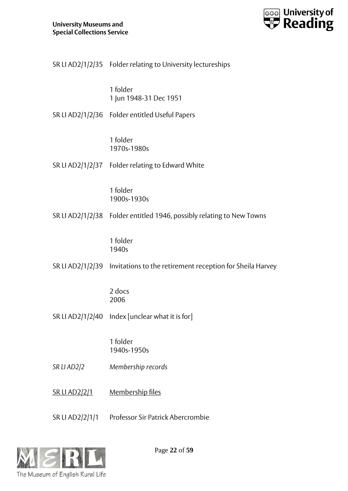![](_page_21_Picture_1.jpeg)

| SR LI AD2/1/2/35 Folder relating to University lectureships |  |
|-------------------------------------------------------------|--|
|                                                             |  |

1 folder 1 Jun 1948-31 Dec 1951

SR LI AD2/1/2/36 Folder entitled Useful Papers

1 folder 1970s-1980s

SR LI AD2/1/2/37 Folder relating to Edward White

1 folder 1900s-1930s

SR LI AD2/1/2/38 Folder entitled 1946, possibly relating to New Towns

1 folder 1940s

SR LI AD2/1/2/39 Invitations to the retirement reception for Sheila Harvey

2 docs 2006

SR LI AD2/1/2/40 Index [unclear what it is for]

1 folder 1940s-1950s

*SR LI AD2/2 Membership records*

SR LI AD2/2/1 Membership files

SR LI AD2/2/1/1 Professor Sir Patrick Abercrombie

![](_page_21_Picture_17.jpeg)

Page **22** of **59**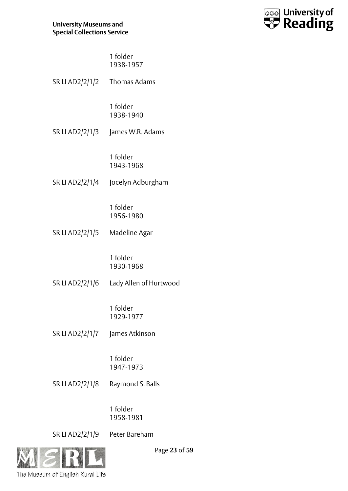![](_page_22_Picture_1.jpeg)

1 folder 1938-1957

| SR LI AD2/2/1/2 Thomas Adams  |                                        |
|-------------------------------|----------------------------------------|
|                               | 1 folder<br>1938-1940                  |
|                               | SR LI AD2/2/1/3 James W.R. Adams       |
|                               | 1 folder<br>1943-1968                  |
|                               | SR LI AD2/2/1/4 Jocelyn Adburgham      |
|                               | 1 folder<br>1956-1980                  |
| SR LI AD2/2/1/5 Madeline Agar |                                        |
|                               | 1 folder<br>1930-1968                  |
|                               | SR LI AD2/2/1/6 Lady Allen of Hurtwood |
|                               | 1 folder<br>1929-1977                  |
| SR LI AD2/2/1/7               | James Atkinson                         |
|                               | 1 folder<br>1947-1973                  |
| SR LI AD2/2/1/8               | Raymond S. Balls                       |
|                               |                                        |

1 folder 1958-1981

SR LI AD2/2/1/9 Peter Bareham

![](_page_22_Picture_6.jpeg)

Page **23** of **59**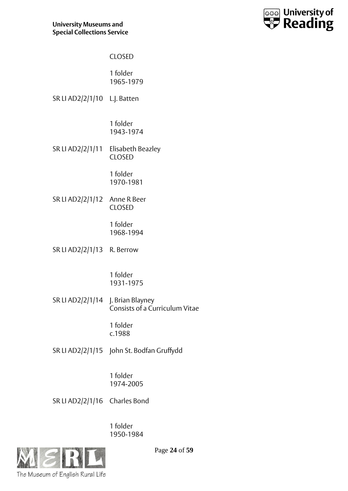![](_page_23_Picture_1.jpeg)

## CLOSED

1 folder 1965-1979

SR LI AD2/2/1/10 L.J. Batten

1 folder 1943-1974

SR LI AD2/2/1/11 Elisabeth Beazley CLOSED

> 1 folder 1970-1981

SR LI AD2/2/1/12 Anne R Beer CLOSED

> 1 folder 1968-1994

SR LI AD2/2/1/13 R. Berrow

1 folder 1931-1975

SR LI AD2/2/1/14 J. Brian Blayney Consists of a Curriculum Vitae

> 1 folder c.1988

SR LI AD2/2/1/15 John St. Bodfan Gruffydd

1 folder 1974-2005

SR LI AD2/2/1/16 Charles Bond

1 folder 1950-1984

![](_page_23_Picture_18.jpeg)

Page **24** of **59**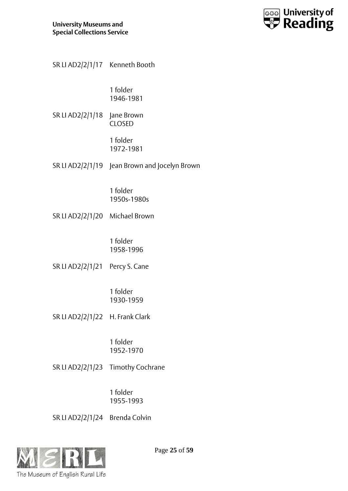![](_page_24_Picture_1.jpeg)

1 folder 1946-1981

SR LI AD2/2/1/18 Jane Brown CLOSED

> 1 folder 1972-1981

SR LI AD2/2/1/19 Jean Brown and Jocelyn Brown

1 folder 1950s-1980s

SR LI AD2/2/1/20 Michael Brown

1 folder 1958-1996

SR LI AD2/2/1/21 Percy S. Cane

1 folder 1930-1959

SR LI AD2/2/1/22 H. Frank Clark

1 folder 1952-1970

SR LI AD2/2/1/23 Timothy Cochrane

1 folder 1955-1993

SR LI AD2/2/1/24 Brenda Colvin

![](_page_24_Picture_17.jpeg)

Page **25** of **59**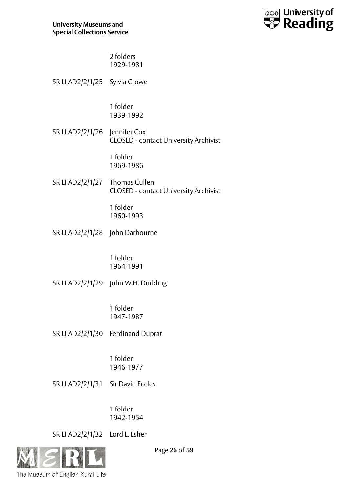![](_page_25_Picture_1.jpeg)

2 folders 1929-1981

SR LI AD2/2/1/25 Sylvia Crowe

1 folder 1939-1992

SR LI AD2/2/1/26 Jennifer Cox CLOSED - contact University Archivist

> 1 folder 1969-1986

SR LI AD2/2/1/27 Thomas Cullen CLOSED - contact University Archivist

> 1 folder 1960-1993

SR LI AD2/2/1/28 John Darbourne

1 folder 1964-1991

SR LI AD2/2/1/29 John W.H. Dudding

1 folder 1947-1987

SR LI AD2/2/1/30 Ferdinand Duprat

1 folder 1946-1977

SR LI AD2/2/1/31 Sir David Eccles

1 folder 1942-1954

SR LI AD2/2/1/32 Lord L. Esher

![](_page_25_Picture_18.jpeg)

Page **26** of **59**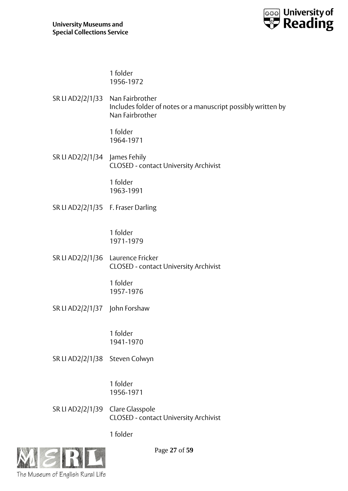![](_page_26_Picture_1.jpeg)

1 folder 1956-1972

SR LI AD2/2/1/33 Nan Fairbrother Includes folder of notes or a manuscript possibly written by Nan Fairbrother

> 1 folder 1964-1971

SR LI AD2/2/1/34 James Fehily CLOSED - contact University Archivist

> 1 folder 1963-1991

SR LI AD2/2/1/35 F. Fraser Darling

1 folder 1971-1979

SR LI AD2/2/1/36 Laurence Fricker CLOSED - contact University Archivist

> 1 folder 1957-1976

SR LI AD2/2/1/37 John Forshaw

1 folder 1941-1970

SR LI AD2/2/1/38 Steven Colwyn

1 folder 1956-1971

SR LI AD2/2/1/39 Clare Glasspole CLOSED - contact University Archivist

1 folder

![](_page_26_Picture_17.jpeg)

Page **27** of **59**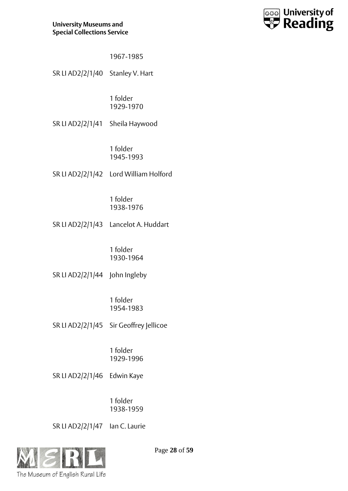![](_page_27_Picture_1.jpeg)

| 1967-1985 |  |
|-----------|--|
|-----------|--|

SR LI AD2/2/1/40 Stanley V. Hart

1 folder 1929-1970

SR LI AD2/2/1/41 Sheila Haywood

1 folder 1945-1993

SR LI AD2/2/1/42 Lord William Holford

1 folder 1938-1976

SR LI AD2/2/1/43 Lancelot A. Huddart

1 folder 1930-1964

SR LI AD2/2/1/44 John Ingleby

1 folder 1954-1983

SR LI AD2/2/1/45 Sir Geoffrey Jellicoe

1 folder 1929-1996

SR LI AD2/2/1/46 Edwin Kaye

1 folder 1938-1959

SR LI AD2/2/1/47 Ian C. Laurie

![](_page_27_Picture_18.jpeg)

Page **28** of **59**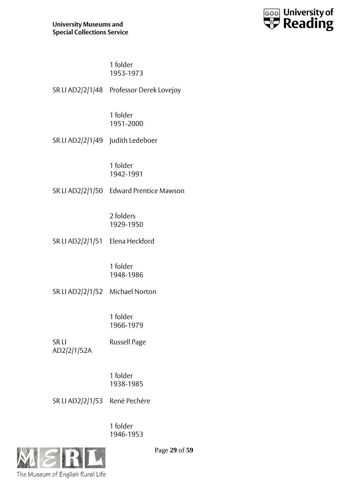![](_page_28_Picture_1.jpeg)

1 folder 1953-1973

SR LI AD2/2/1/48 Professor Derek Lovejoy

1 folder 1951-2000

SR LI AD2/2/1/49 Judith Ledeboer

1 folder 1942-1991

SR LI AD2/2/1/50 Edward Prentice Mawson

2 folders 1929-1950

SR LI AD2/2/1/51 Elena Heckford

1 folder 1948-1986

SR LI AD2/2/1/52 Michael Norton

1 folder 1966-1979

SR LI AD2/2/1/52A Russell Page

> 1 folder 1938-1985

SR LI AD2/2/1/53 René Pechère

1 folder 1946-1953

![](_page_28_Picture_17.jpeg)

Page **29** of **59**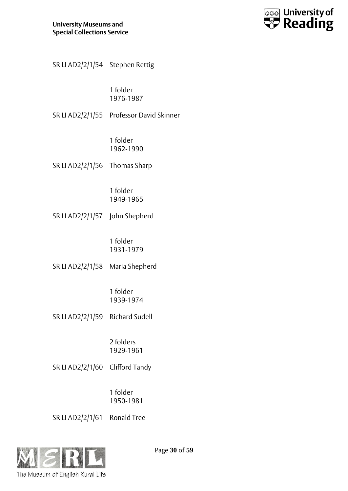![](_page_29_Picture_1.jpeg)

| SR LI AD2/2/1/54 Stephen Rettig |  |  |
|---------------------------------|--|--|
|                                 |  |  |

1 folder 1976-1987

SR LI AD2/2/1/55 Professor David Skinner

1 folder 1962-1990

SR LI AD2/2/1/56 Thomas Sharp

1 folder 1949-1965

SR LI AD2/2/1/57 John Shepherd

1 folder 1931-1979

SR LI AD2/2/1/58 Maria Shepherd

1 folder 1939-1974

SR LI AD2/2/1/59 Richard Sudell

2 folders 1929-1961

SR LI AD2/2/1/60 Clifford Tandy

1 folder 1950-1981

SR LI AD2/2/1/61 Ronald Tree

![](_page_29_Picture_17.jpeg)

Page **30** of **59**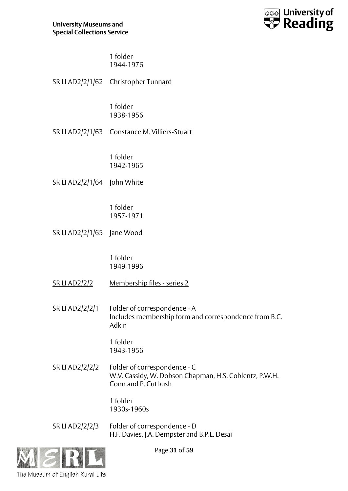![](_page_30_Picture_1.jpeg)

1 folder 1944-1976

|                             | SR LI AD2/2/1/62 Christopher Tunnard                                                           |
|-----------------------------|------------------------------------------------------------------------------------------------|
|                             | 1 folder<br>1938-1956                                                                          |
|                             | SR LI AD2/2/1/63 Constance M. Villiers-Stuart                                                  |
|                             | 1 folder<br>1942-1965                                                                          |
| SR LI AD2/2/1/64 John White |                                                                                                |
|                             | 1 folder<br>1957-1971                                                                          |
| SR LI AD2/2/1/65 Jane Wood  |                                                                                                |
|                             | 1 folder<br>1949-1996                                                                          |
| <u>SR LI AD2/2/2</u>        | Membership files - series 2                                                                    |
| SR LI AD2/2/2/1             | Folder of correspondence - A<br>Includes membership form and correspondence from B.C.<br>Adkin |
|                             | 1 folder<br>1943-1956                                                                          |
| SR LI AD2/2/2/2             | Folder of correspondence - C<br>W.V. Cassidy, W. Dobson Chapman, H.S. Coblentz, P.W.H.         |

1 folder 1930s-1960s

SR LI AD2/2/2/3 Folder of correspondence - D H.F. Davies, J.A. Dempster and B.P.L. Desai

Conn and P. Cutbush

![](_page_30_Picture_6.jpeg)

Page **31** of **59**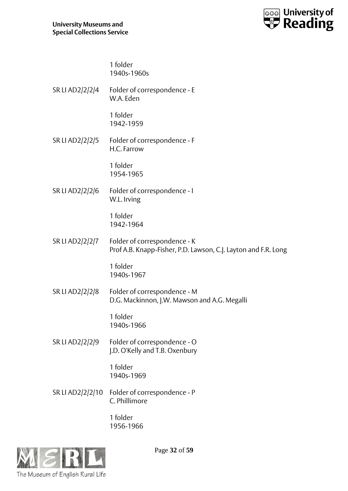![](_page_31_Picture_1.jpeg)

1 folder 1940s-1960s

SR LI AD2/2/2/4 Folder of correspondence - E W.A. Eden

> 1 folder 1942-1959

SR LI AD2/2/2/5 Folder of correspondence - F H.C. Farrow

> 1 folder 1954-1965

SR LI AD2/2/2/6 Folder of correspondence - I W.L. Irving

> 1 folder 1942-1964

SR LI AD2/2/2/7 Folder of correspondence - K Prof A.B. Knapp-Fisher, P.D. Lawson, C.J. Layton and F.R. Long

> 1 folder 1940s-1967

SR LI AD2/2/2/8 Folder of correspondence - M D.G. Mackinnon, J.W. Mawson and A.G. Megalli

> 1 folder 1940s-1966

SR LI AD2/2/2/9 Folder of correspondence - O J.D. O'Kelly and T.B. Oxenbury

> 1 folder 1940s-1969

SR LI AD2/2/2/10 Folder of correspondence - P C. Phillimore

> 1 folder 1956-1966

![](_page_31_Picture_17.jpeg)

Page **32** of **59**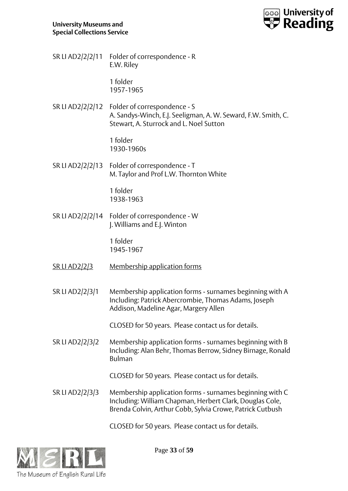![](_page_32_Picture_1.jpeg)

SR LI AD2/2/2/11 Folder of correspondence - R E.W. Riley

> 1 folder 1957-1965

SR LI AD2/2/2/12 Folder of correspondence - S A. Sandys-Winch, E.J. Seeligman, A. W. Seward, F.W. Smith, C. Stewart, A. Sturrock and L. Noel Sutton

> 1 folder 1930-1960s

SR LI AD2/2/2/13 Folder of correspondence - T M. Taylor and Prof L.W. Thornton White

> 1 folder 1938-1963

SR LI AD2/2/2/14 Folder of correspondence - W J. Williams and E.J. Winton

> 1 folder 1945-1967

- SR LI AD2/2/3 Membership application forms
- SR LI AD2/2/3/1 Membership application forms surnames beginning with A Including: Patrick Abercrombie, Thomas Adams, Joseph Addison, Madeline Agar, Margery Allen

CLOSED for 50 years. Please contact us for details.

SR LI AD2/2/3/2 Membership application forms - surnames beginning with B Including: Alan Behr, Thomas Berrow, Sidney Birnage, Ronald Bulman

CLOSED for 50 years. Please contact us for details.

SR LI AD2/2/3/3 Membership application forms - surnames beginning with C Including: William Chapman, Herbert Clark, Douglas Cole, Brenda Colvin, Arthur Cobb, Sylvia Crowe, Patrick Cutbush

CLOSED for 50 years. Please contact us for details.

![](_page_32_Picture_17.jpeg)

Page **33** of **59**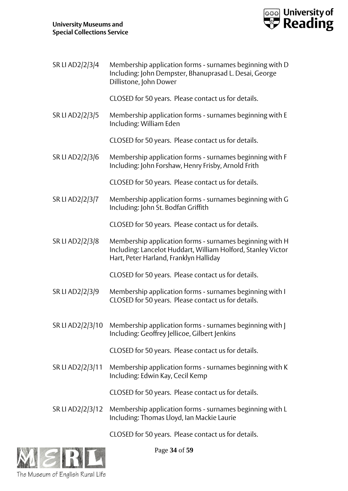![](_page_33_Picture_1.jpeg)

SR LI AD2/2/3/4 Membership application forms - surnames beginning with D Including: John Dempster, Bhanuprasad L. Desai, George Dillistone, John Dower CLOSED for 50 years. Please contact us for details. SR LI AD2/2/3/5 Membership application forms - surnames beginning with E Including: William Eden CLOSED for 50 years. Please contact us for details. SR LI AD2/2/3/6 Membership application forms - surnames beginning with F Including: John Forshaw, Henry Frisby, Arnold Frith CLOSED for 50 years. Please contact us for details. SR LI AD2/2/3/7 Membership application forms - surnames beginning with G Including: John St. Bodfan Griffith CLOSED for 50 years. Please contact us for details. SR LI AD2/2/3/8 Membership application forms - surnames beginning with H Including: Lancelot Huddart, William Holford, Stanley Victor Hart, Peter Harland, Franklyn Halliday CLOSED for 50 years. Please contact us for details. SR LI AD2/2/3/9 Membership application forms - surnames beginning with I CLOSED for 50 years. Please contact us for details. SR LI AD2/2/3/10 Membership application forms - surnames beginning with J Including: Geoffrey Jellicoe, Gilbert Jenkins CLOSED for 50 years. Please contact us for details. SR LI AD2/2/3/11 Membership application forms - surnames beginning with K Including: Edwin Kay, Cecil Kemp CLOSED for 50 years. Please contact us for details. SR LI AD2/2/3/12 Membership application forms - surnames beginning with L Including: Thomas Lloyd, Ian Mackie Laurie CLOSED for 50 years. Please contact us for details.

![](_page_33_Picture_3.jpeg)

Page **34** of **59**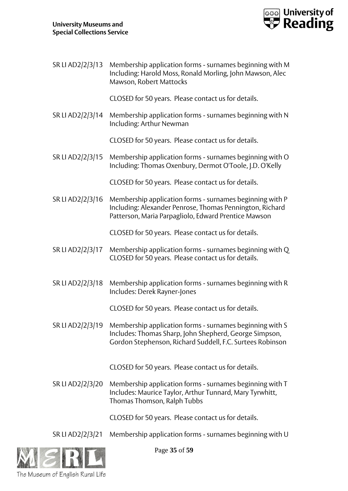![](_page_34_Picture_1.jpeg)

SR LI AD2/2/3/13 Membership application forms - surnames beginning with M Including: Harold Moss, Ronald Morling, John Mawson, Alec Mawson, Robert Mattocks

CLOSED for 50 years. Please contact us for details.

SR LI AD2/2/3/14 Membership application forms - surnames beginning with N Including: Arthur Newman

CLOSED for 50 years. Please contact us for details.

SR LI AD2/2/3/15 Membership application forms - surnames beginning with O Including: Thomas Oxenbury, Dermot O'Toole, J.D. O'Kelly

CLOSED for 50 years. Please contact us for details.

SR LI AD2/2/3/16 Membership application forms - surnames beginning with P Including: Alexander Penrose, Thomas Pennington, Richard Patterson, Maria Parpagliolo, Edward Prentice Mawson

CLOSED for 50 years. Please contact us for details.

- SR LI AD2/2/3/17 Membership application forms surnames beginning with Q CLOSED for 50 years. Please contact us for details.
- SR LI AD2/2/3/18 Membership application forms surnames beginning with R Includes: Derek Rayner-Jones

CLOSED for 50 years. Please contact us for details.

SR LI AD2/2/3/19 Membership application forms - surnames beginning with S Includes: Thomas Sharp, John Shepherd, George Simpson, Gordon Stephenson, Richard Suddell, F.C. Surtees Robinson

CLOSED for 50 years. Please contact us for details.

SR LI AD2/2/3/20 Membership application forms - surnames beginning with T Includes: Maurice Taylor, Arthur Tunnard, Mary Tyrwhitt, Thomas Thomson, Ralph Tubbs

CLOSED for 50 years. Please contact us for details.

SR LI AD2/2/3/21 Membership application forms - surnames beginning with U

![](_page_34_Picture_18.jpeg)

Page **35** of **59**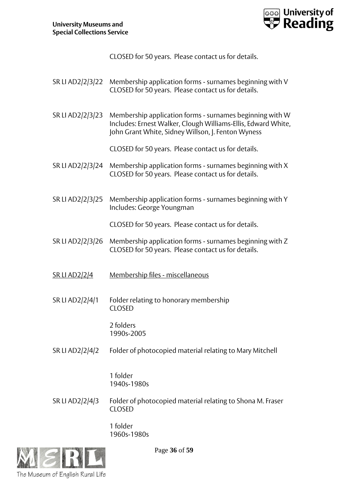![](_page_35_Picture_1.jpeg)

CLOSED for 50 years. Please contact us for details.

- SR LI AD2/2/3/22 Membership application forms surnames beginning with V CLOSED for 50 years. Please contact us for details.
- SR LI AD2/2/3/23 Membership application forms surnames beginning with W Includes: Ernest Walker, Clough Williams-Ellis, Edward White, John Grant White, Sidney Willson, J. Fenton Wyness

CLOSED for 50 years. Please contact us for details.

- SR LI AD2/2/3/24 Membership application forms surnames beginning with X CLOSED for 50 years. Please contact us for details.
- SR LI AD2/2/3/25 Membership application forms surnames beginning with Y Includes: George Youngman

CLOSED for 50 years. Please contact us for details.

- SR LI AD2/2/3/26 Membership application forms surnames beginning with Z CLOSED for 50 years. Please contact us for details.
- SR LI AD2/2/4 Membership files miscellaneous
- SR LI AD2/2/4/1 Folder relating to honorary membership CLOSED

2 folders 1990s-2005

SR LI AD2/2/4/2 Folder of photocopied material relating to Mary Mitchell

1 folder 1940s-1980s

SR LI AD2/2/4/3 Folder of photocopied material relating to Shona M. Fraser CLOSED

> 1 folder 1960s-1980s

![](_page_35_Picture_17.jpeg)

Page **36** of **59**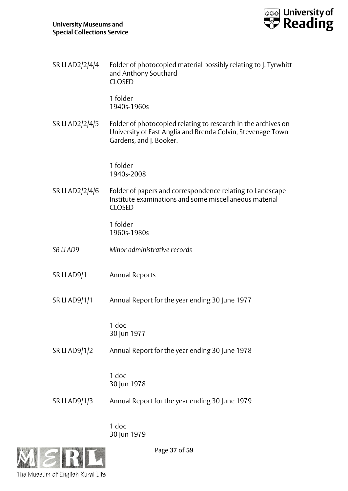![](_page_36_Picture_1.jpeg)

| SR LI AD2/2/4/4    | Folder of photocopied material possibly relating to J. Tyrwhitt<br>and Anthony Southard<br><b>CLOSED</b>                                                |
|--------------------|---------------------------------------------------------------------------------------------------------------------------------------------------------|
|                    | 1 folder<br>1940s-1960s                                                                                                                                 |
| SR LI AD2/2/4/5    | Folder of photocopied relating to research in the archives on<br>University of East Anglia and Brenda Colvin, Stevenage Town<br>Gardens, and J. Booker. |
|                    | 1 folder<br>1940s-2008                                                                                                                                  |
| SR LI AD2/2/4/6    | Folder of papers and correspondence relating to Landscape<br>Institute examinations and some miscellaneous material<br><b>CLOSED</b>                    |
|                    | 1 folder<br>1960s-1980s                                                                                                                                 |
| SR LI AD9          | Minor administrative records                                                                                                                            |
| <u>SR LI AD9/1</u> | <b>Annual Reports</b>                                                                                                                                   |
| SR LI AD9/1/1      | Annual Report for the year ending 30 June 1977                                                                                                          |
|                    | 1 doc<br>30 Jun 1977                                                                                                                                    |
| SR LI AD9/1/2      | Annual Report for the year ending 30 June 1978                                                                                                          |
|                    | 1 doc<br>30 Jun 1978                                                                                                                                    |
| SR LI AD9/1/3      | Annual Report for the year ending 30 June 1979                                                                                                          |
|                    | 1 doc                                                                                                                                                   |

30 Jun 1979

![](_page_36_Picture_4.jpeg)

Page **37** of **59**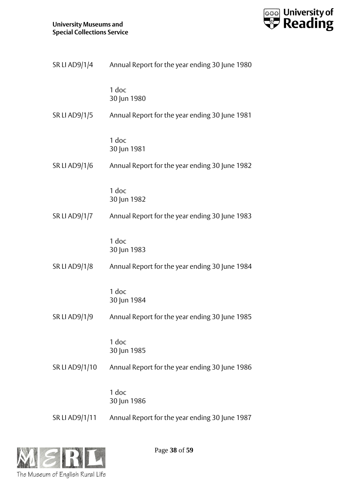![](_page_37_Picture_1.jpeg)

| SR LI AD9/1/4        | Annual Report for the year ending 30 June 1980 |
|----------------------|------------------------------------------------|
|                      | 1 doc<br>30 Jun 1980                           |
| <b>SR LI AD9/1/5</b> | Annual Report for the year ending 30 June 1981 |
|                      | 1 doc<br>30 Jun 1981                           |
| SR LI AD9/1/6        | Annual Report for the year ending 30 June 1982 |
|                      | 1 doc<br>30 Jun 1982                           |
| <b>SR LI AD9/1/7</b> | Annual Report for the year ending 30 June 1983 |
|                      | 1 doc<br>30 Jun 1983                           |
| <b>SR LI AD9/1/8</b> | Annual Report for the year ending 30 June 1984 |
|                      | 1 doc<br>30 Jun 1984                           |
| <b>SR LI AD9/1/9</b> | Annual Report for the year ending 30 June 1985 |
|                      | 1 doc<br>30 Jun 1985                           |
| SR LI AD9/1/10       | Annual Report for the year ending 30 June 1986 |
|                      | 1 doc<br>30 Jun 1986                           |
| SR LI AD9/1/11       | Annual Report for the year ending 30 June 1987 |

![](_page_37_Picture_3.jpeg)

Page **38** of **59**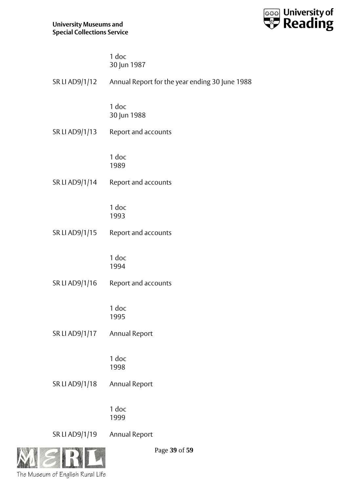![](_page_38_Picture_1.jpeg)

| 1 doc       |  |
|-------------|--|
| 30 Jun 1987 |  |

|                | SR LI AD9/1/12 Annual Report for the year ending 30 June 1988 |
|----------------|---------------------------------------------------------------|
|                | 1 doc<br>30 Jun 1988                                          |
| SR LI AD9/1/13 | Report and accounts                                           |
|                | 1 doc<br>1989                                                 |
| SR LI AD9/1/14 | Report and accounts                                           |
|                | 1 doc<br>1993                                                 |
| SR LI AD9/1/15 | Report and accounts                                           |
|                | 1 doc<br>1994                                                 |
| SR LI AD9/1/16 | Report and accounts                                           |
|                | 1 doc<br>1995                                                 |
| SR LI AD9/1/17 | <b>Annual Report</b>                                          |
|                | 1 doc<br>1998                                                 |
| SR LI AD9/1/18 | Annual Report                                                 |
|                | 1 doc<br>1999                                                 |
| SR LI AD9/1/19 | Annual Report                                                 |

![](_page_38_Picture_4.jpeg)

Page **39** of **59**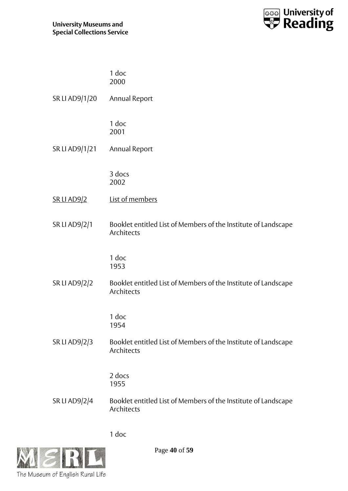![](_page_39_Picture_1.jpeg)

| 1 doc |  |
|-------|--|
| 2000  |  |

| SR LI AD9/1/20 | Annual Report |
|----------------|---------------|
|                |               |

1 doc 2001

SR LI AD9/1/21 Annual Report

3 docs 2002

- SR LI AD9/2 List of members
- SR LI AD9/2/1 Booklet entitled List of Members of the Institute of Landscape Architects

1 doc 1953

SR LI AD9/2/2 Booklet entitled List of Members of the Institute of Landscape Architects

> 1 doc 1954

SR LI AD9/2/3 Booklet entitled List of Members of the Institute of Landscape Architects

> 2 docs 1955

SR LI AD9/2/4 Booklet entitled List of Members of the Institute of Landscape Architects

1 doc

![](_page_39_Picture_16.jpeg)

Page **40** of **59**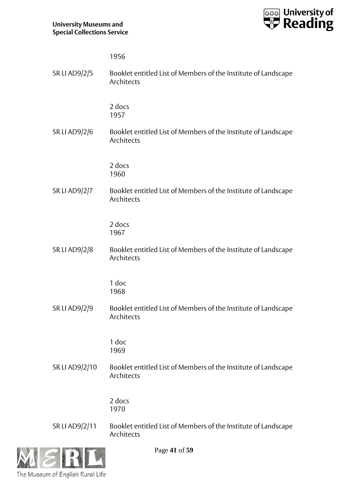![](_page_40_Picture_1.jpeg)

|                      | 1956                                                                         |
|----------------------|------------------------------------------------------------------------------|
| <b>SR LI AD9/2/5</b> | Booklet entitled List of Members of the Institute of Landscape<br>Architects |
|                      | 2 docs<br>1957                                                               |
| SR LI AD9/2/6        | Booklet entitled List of Members of the Institute of Landscape<br>Architects |
|                      | 2 docs<br>1960                                                               |
| <b>SR LI AD9/2/7</b> | Booklet entitled List of Members of the Institute of Landscape<br>Architects |
|                      | 2 docs<br>1967                                                               |
| <b>SR LI AD9/2/8</b> | Booklet entitled List of Members of the Institute of Landscape<br>Architects |
|                      | 1 doc<br>1968                                                                |
| <b>SR LI AD9/2/9</b> | Booklet entitled List of Members of the Institute of Landscape<br>Architects |
|                      | 1 doc<br>1969                                                                |
| SR LI AD9/2/10       | Booklet entitled List of Members of the Institute of Landscape<br>Architects |
|                      | 2 docs<br>1970                                                               |
| SR LI AD9/2/11       | Booklet entitled List of Members of the Institute of Landscape<br>Architects |

![](_page_40_Picture_3.jpeg)

Page **41** of **59**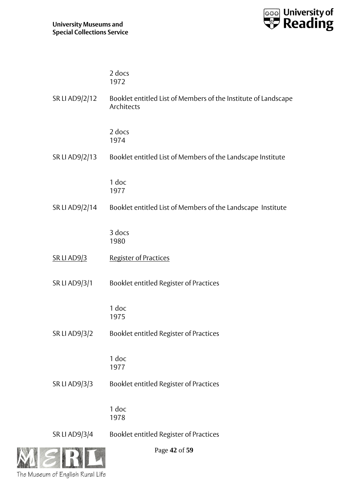![](_page_41_Picture_1.jpeg)

|                      | 2 docs<br>1972                                                               |
|----------------------|------------------------------------------------------------------------------|
| SR LI AD9/2/12       | Booklet entitled List of Members of the Institute of Landscape<br>Architects |
|                      | 2 docs<br>1974                                                               |
| SR LI AD9/2/13       | Booklet entitled List of Members of the Landscape Institute                  |
|                      | 1 doc<br>1977                                                                |
| SR LI AD9/2/14       | Booklet entitled List of Members of the Landscape Institute                  |
|                      | 3 docs<br>1980                                                               |
| <b>SR LI AD9/3</b>   | Register of Practices                                                        |
| <b>SR LI AD9/3/1</b> | Booklet entitled Register of Practices                                       |
|                      | 1 doc<br>1975                                                                |
| <b>SR LI AD9/3/2</b> | Booklet entitled Register of Practices                                       |
|                      | 1 doc<br>1977                                                                |
| SR LI AD9/3/3        | Booklet entitled Register of Practices                                       |
|                      | 1 doc<br>1978                                                                |
| <b>SR LI AD9/3/4</b> | Booklet entitled Register of Practices                                       |

![](_page_41_Picture_3.jpeg)

Page **42** of **59**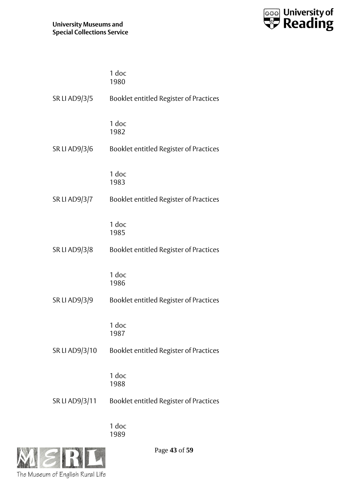![](_page_42_Picture_1.jpeg)

|                      | 1 doc<br>1980                          |
|----------------------|----------------------------------------|
| SR LI AD9/3/5        | Booklet entitled Register of Practices |
|                      | 1 doc<br>1982                          |
| <b>SR LI AD9/3/6</b> | Booklet entitled Register of Practices |
|                      | 1 doc<br>1983                          |
| SR LI AD9/3/7        | Booklet entitled Register of Practices |
|                      | 1 doc<br>1985                          |
| SR LI AD9/3/8        | Booklet entitled Register of Practices |
|                      | 1 doc<br>1986                          |
| SR LI AD9/3/9        | Booklet entitled Register of Practices |
|                      | 1 doc<br>1987                          |
| SR LI AD9/3/10       | Booklet entitled Register of Practices |
|                      | 1 doc<br>1988                          |
| SR LI AD9/3/11       | Booklet entitled Register of Practices |
|                      | 1 doc                                  |

1989

![](_page_42_Picture_4.jpeg)

Page **43** of **59**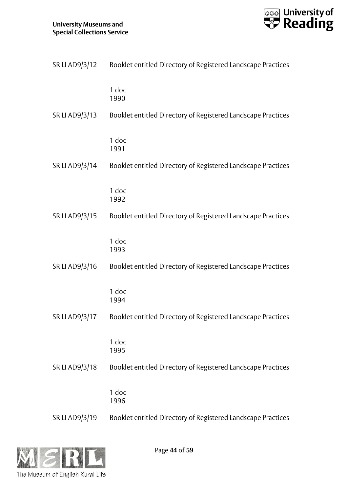![](_page_43_Picture_1.jpeg)

| SR LI AD9/3/12 | Booklet entitled Directory of Registered Landscape Practices |
|----------------|--------------------------------------------------------------|
|                | 1 doc<br>1990                                                |
| SR LI AD9/3/13 | Booklet entitled Directory of Registered Landscape Practices |
|                | 1 doc<br>1991                                                |
| SR LI AD9/3/14 | Booklet entitled Directory of Registered Landscape Practices |
|                | 1 doc<br>1992                                                |
| SR LI AD9/3/15 | Booklet entitled Directory of Registered Landscape Practices |
|                | 1 doc<br>1993                                                |
| SR LI AD9/3/16 | Booklet entitled Directory of Registered Landscape Practices |
|                | 1 doc<br>1994                                                |
| SR LI AD9/3/17 | Booklet entitled Directory of Registered Landscape Practices |
|                | 1 doc<br>1995                                                |
| SR LI AD9/3/18 | Booklet entitled Directory of Registered Landscape Practices |
|                | $1$ doc<br>1996                                              |
| SR LI AD9/3/19 | Booklet entitled Directory of Registered Landscape Practices |

![](_page_43_Picture_3.jpeg)

Page **44** of **59**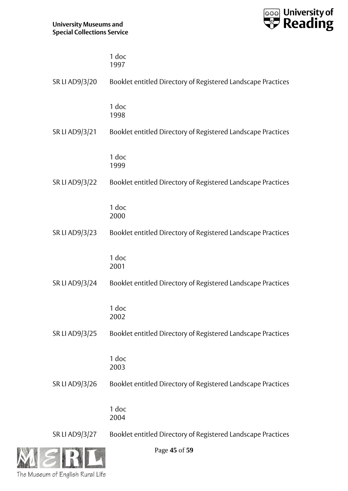![](_page_44_Picture_1.jpeg)

|                | 1 doc<br>1997                                                |
|----------------|--------------------------------------------------------------|
| SR LI AD9/3/20 | Booklet entitled Directory of Registered Landscape Practices |
|                | 1 doc<br>1998                                                |
| SR LI AD9/3/21 | Booklet entitled Directory of Registered Landscape Practices |
|                | 1 doc<br>1999                                                |
| SR LI AD9/3/22 | Booklet entitled Directory of Registered Landscape Practices |
|                | 1 doc<br>2000                                                |
| SR LI AD9/3/23 | Booklet entitled Directory of Registered Landscape Practices |
|                | 1 doc<br>2001                                                |
| SR LI AD9/3/24 | Booklet entitled Directory of Registered Landscape Practices |
|                | 1 doc<br>2002                                                |
| SR LI AD9/3/25 | Booklet entitled Directory of Registered Landscape Practices |
|                | 1 doc<br>2003                                                |
| SR LI AD9/3/26 | Booklet entitled Directory of Registered Landscape Practices |
|                | 1 doc<br>2004                                                |
| SR LI AD9/3/27 | Booklet entitled Directory of Registered Landscape Practices |

![](_page_44_Picture_3.jpeg)

Page **45** of **59**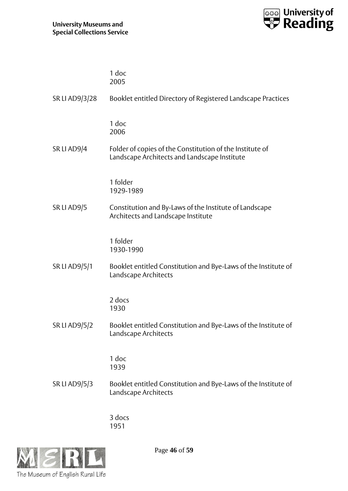![](_page_45_Picture_1.jpeg)

|                | 1 doc<br>2005                                                                                            |
|----------------|----------------------------------------------------------------------------------------------------------|
| SR LI AD9/3/28 | Booklet entitled Directory of Registered Landscape Practices                                             |
|                | 1 doc<br>2006                                                                                            |
| SR LI AD9/4    | Folder of copies of the Constitution of the Institute of<br>Landscape Architects and Landscape Institute |
|                | 1 folder<br>1929-1989                                                                                    |
| SR LI AD9/5    | Constitution and By-Laws of the Institute of Landscape<br>Architects and Landscape Institute             |
|                | 1 folder<br>1930-1990                                                                                    |
| SR LI AD9/5/1  | Booklet entitled Constitution and Bye-Laws of the Institute of<br>Landscape Architects                   |
|                | 2 docs<br>1930                                                                                           |
| SR LI AD9/5/2  | Booklet entitled Constitution and Bye-Laws of the Institute of<br>Landscape Architects                   |
|                | 1 doc<br>1939                                                                                            |
| SR LI AD9/5/3  | Booklet entitled Constitution and Bye-Laws of the Institute of<br>Landscape Architects                   |
|                |                                                                                                          |

3 docs 1951

![](_page_45_Picture_4.jpeg)

Page **46** of **59**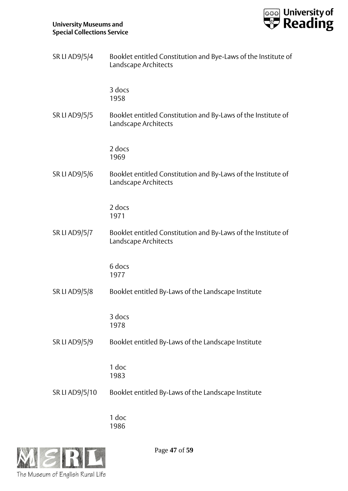![](_page_46_Picture_1.jpeg)

| <b>SR LI AD9/5/4</b> | Booklet entitled Constitution and Bye-Laws of the Institute of<br>Landscape Architects |
|----------------------|----------------------------------------------------------------------------------------|
|                      | 3 docs<br>1958                                                                         |
| <b>SR LI AD9/5/5</b> | Booklet entitled Constitution and By-Laws of the Institute of<br>Landscape Architects  |
|                      | 2 docs<br>1969                                                                         |
| <b>SR LI AD9/5/6</b> | Booklet entitled Constitution and By-Laws of the Institute of<br>Landscape Architects  |
|                      | 2 docs<br>1971                                                                         |
| <b>SR LI AD9/5/7</b> | Booklet entitled Constitution and By-Laws of the Institute of<br>Landscape Architects  |
|                      | 6 docs<br>1977                                                                         |
| SR LI AD9/5/8        | Booklet entitled By-Laws of the Landscape Institute                                    |
|                      | 3 docs<br>1978                                                                         |
| SR LI AD9/5/9        | Booklet entitled By-Laws of the Landscape Institute                                    |
|                      | 1 doc<br>1983                                                                          |
| SR LI AD9/5/10       | Booklet entitled By-Laws of the Landscape Institute                                    |
|                      | 1 doc                                                                                  |

1986

![](_page_46_Picture_4.jpeg)

Page **47** of **59**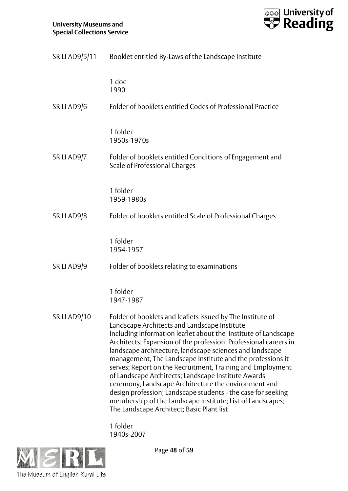![](_page_47_Picture_1.jpeg)

|                     | SR LI AD9/5/11 Booklet entitled By-Laws of the Landscape Institute                                                                                                                                                                                                                                                                                                                                                                                                                                                                                                                                                                                                                                                                 |
|---------------------|------------------------------------------------------------------------------------------------------------------------------------------------------------------------------------------------------------------------------------------------------------------------------------------------------------------------------------------------------------------------------------------------------------------------------------------------------------------------------------------------------------------------------------------------------------------------------------------------------------------------------------------------------------------------------------------------------------------------------------|
|                     | 1 doc<br>1990                                                                                                                                                                                                                                                                                                                                                                                                                                                                                                                                                                                                                                                                                                                      |
| SR LI AD9/6         | Folder of booklets entitled Codes of Professional Practice                                                                                                                                                                                                                                                                                                                                                                                                                                                                                                                                                                                                                                                                         |
|                     | 1 folder<br>1950s-1970s                                                                                                                                                                                                                                                                                                                                                                                                                                                                                                                                                                                                                                                                                                            |
| SR LI AD9/7         | Folder of booklets entitled Conditions of Engagement and<br><b>Scale of Professional Charges</b>                                                                                                                                                                                                                                                                                                                                                                                                                                                                                                                                                                                                                                   |
|                     | 1 folder<br>1959-1980s                                                                                                                                                                                                                                                                                                                                                                                                                                                                                                                                                                                                                                                                                                             |
| SR LI AD9/8         | Folder of booklets entitled Scale of Professional Charges                                                                                                                                                                                                                                                                                                                                                                                                                                                                                                                                                                                                                                                                          |
|                     | 1 folder<br>1954-1957                                                                                                                                                                                                                                                                                                                                                                                                                                                                                                                                                                                                                                                                                                              |
| SR LI AD9/9         | Folder of booklets relating to examinations                                                                                                                                                                                                                                                                                                                                                                                                                                                                                                                                                                                                                                                                                        |
|                     | 1 folder<br>1947-1987                                                                                                                                                                                                                                                                                                                                                                                                                                                                                                                                                                                                                                                                                                              |
| <b>SR LI AD9/10</b> | Folder of booklets and leaflets issued by The Institute of<br>Landscape Architects and Landscape Institute<br>Including information leaflet about the Institute of Landscape<br>Architects; Expansion of the profession; Professional careers in<br>landscape architecture, landscape sciences and landscape<br>management, The Landscape Institute and the professions it<br>serves; Report on the Recruitment, Training and Employment<br>of Landscape Architects; Landscape Institute Awards<br>ceremony, Landscape Architecture the environment and<br>design profession; Landscape students - the case for seeking<br>membership of the Landscape Institute; List of Landscapes;<br>The Landscape Architect; Basic Plant list |
|                     | 1 folder                                                                                                                                                                                                                                                                                                                                                                                                                                                                                                                                                                                                                                                                                                                           |

1940s-2007

![](_page_47_Picture_4.jpeg)

Page **48** of **59**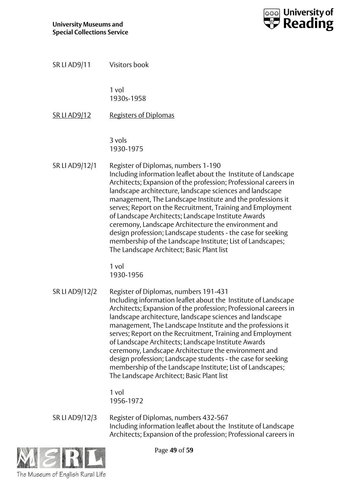![](_page_48_Picture_1.jpeg)

| SR LI AD9/11        | Visitors book                                                                                                                                                                                                                                                                                                                                                                                                                                                                                                                                                                                                                                                 |
|---------------------|---------------------------------------------------------------------------------------------------------------------------------------------------------------------------------------------------------------------------------------------------------------------------------------------------------------------------------------------------------------------------------------------------------------------------------------------------------------------------------------------------------------------------------------------------------------------------------------------------------------------------------------------------------------|
|                     | 1 vol<br>1930s-1958                                                                                                                                                                                                                                                                                                                                                                                                                                                                                                                                                                                                                                           |
| <b>SR LI AD9/12</b> | <b>Registers of Diplomas</b>                                                                                                                                                                                                                                                                                                                                                                                                                                                                                                                                                                                                                                  |
|                     | 3 vols<br>1930-1975                                                                                                                                                                                                                                                                                                                                                                                                                                                                                                                                                                                                                                           |
| SR LI AD9/12/1      | Register of Diplomas, numbers 1-190<br>Including information leaflet about the Institute of Landscape<br>Architects; Expansion of the profession; Professional careers in<br>landscape architecture, landscape sciences and landscape<br>management, The Landscape Institute and the professions it<br>serves; Report on the Recruitment, Training and Employment<br>of Landscape Architects; Landscape Institute Awards<br>ceremony, Landscape Architecture the environment and<br>design profession; Landscape students - the case for seeking<br>membership of the Landscape Institute; List of Landscapes;<br>The Landscape Architect; Basic Plant list   |
|                     | 1 vol<br>1930-1956                                                                                                                                                                                                                                                                                                                                                                                                                                                                                                                                                                                                                                            |
| SR LI AD9/12/2      | Register of Diplomas, numbers 191-431<br>Including information leaflet about the Institute of Landscape<br>Architects; Expansion of the profession; Professional careers in<br>landscape architecture, landscape sciences and landscape<br>management, The Landscape Institute and the professions it<br>serves; Report on the Recruitment, Training and Employment<br>of Landscape Architects; Landscape Institute Awards<br>ceremony, Landscape Architecture the environment and<br>design profession; Landscape students - the case for seeking<br>membership of the Landscape Institute; List of Landscapes;<br>The Landscape Architect; Basic Plant list |
|                     | 1 vol<br>1956-1972                                                                                                                                                                                                                                                                                                                                                                                                                                                                                                                                                                                                                                            |
| SR LI AD9/12/3      | Register of Diplomas, numbers 432-567<br>Including information leaflet about the Institute of Landscape<br>Architects; Expansion of the profession; Professional careers in                                                                                                                                                                                                                                                                                                                                                                                                                                                                                   |

![](_page_48_Picture_3.jpeg)

Page **49** of **59**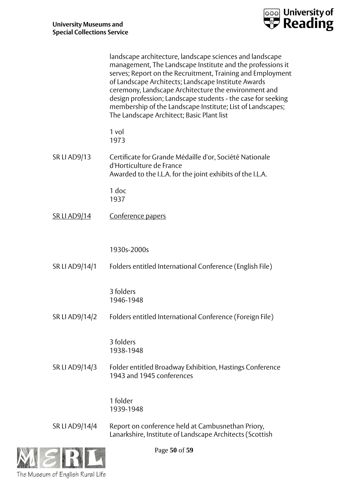![](_page_49_Picture_0.jpeg)

|                     | landscape architecture, landscape sciences and landscape<br>management, The Landscape Institute and the professions it<br>serves; Report on the Recruitment, Training and Employment<br>of Landscape Architects; Landscape Institute Awards<br>ceremony, Landscape Architecture the environment and<br>design profession; Landscape students - the case for seeking<br>membership of the Landscape Institute; List of Landscapes;<br>The Landscape Architect; Basic Plant list |
|---------------------|--------------------------------------------------------------------------------------------------------------------------------------------------------------------------------------------------------------------------------------------------------------------------------------------------------------------------------------------------------------------------------------------------------------------------------------------------------------------------------|
|                     | 1 vol<br>1973                                                                                                                                                                                                                                                                                                                                                                                                                                                                  |
| <b>SR LI AD9/13</b> | Certificate for Grande Médaille d'or, Société Nationale<br>d'Horticulture de France<br>Awarded to the I.L.A. for the joint exhibits of the I.L.A.                                                                                                                                                                                                                                                                                                                              |
|                     | 1 doc<br>1937                                                                                                                                                                                                                                                                                                                                                                                                                                                                  |
| <u>SR LI AD9/14</u> | Conference papers                                                                                                                                                                                                                                                                                                                                                                                                                                                              |
| SR LI AD9/14/1      | 1930s-2000s<br>Folders entitled International Conference (English File)                                                                                                                                                                                                                                                                                                                                                                                                        |
|                     | 3 folders<br>1946-1948                                                                                                                                                                                                                                                                                                                                                                                                                                                         |
| SR LI AD9/14/2      | Folders entitled International Conference (Foreign File)                                                                                                                                                                                                                                                                                                                                                                                                                       |
|                     | 3 folders<br>1938-1948                                                                                                                                                                                                                                                                                                                                                                                                                                                         |
| SR LI AD9/14/3      | Folder entitled Broadway Exhibition, Hastings Conference<br>1943 and 1945 conferences                                                                                                                                                                                                                                                                                                                                                                                          |
|                     | 1 folder<br>1939-1948                                                                                                                                                                                                                                                                                                                                                                                                                                                          |
| SR LI AD9/14/4      | Report on conference held at Cambusnethan Priory,<br>Lanarkshire, Institute of Landscape Architects (Scottish                                                                                                                                                                                                                                                                                                                                                                  |

![](_page_49_Picture_3.jpeg)

Page **50** of **59**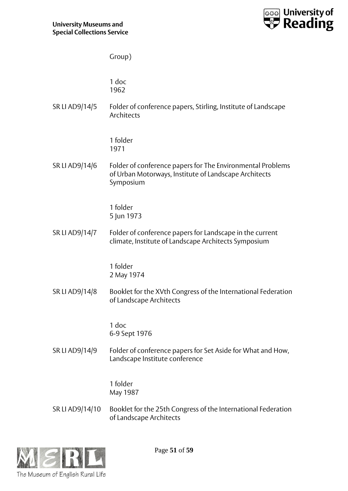![](_page_50_Picture_1.jpeg)

|                 | Group)                                                                                                                           |
|-----------------|----------------------------------------------------------------------------------------------------------------------------------|
|                 | 1 doc<br>1962                                                                                                                    |
| SR LI AD9/14/5  | Folder of conference papers, Stirling, Institute of Landscape<br>Architects                                                      |
|                 | 1 folder<br>1971                                                                                                                 |
| SR LI AD9/14/6  | Folder of conference papers for The Environmental Problems<br>of Urban Motorways, Institute of Landscape Architects<br>Symposium |
|                 | 1 folder<br>5 Jun 1973                                                                                                           |
| SR LI AD9/14/7  | Folder of conference papers for Landscape in the current<br>climate, Institute of Landscape Architects Symposium                 |
|                 | 1 folder<br>2 May 1974                                                                                                           |
| SR LI AD9/14/8  | Booklet for the XVth Congress of the International Federation<br>of Landscape Architects                                         |
|                 | 1 doc<br>6-9 Sept 1976                                                                                                           |
| SR LI AD9/14/9  | Folder of conference papers for Set Aside for What and How,<br>Landscape Institute conference                                    |
|                 | 1 folder<br>May 1987                                                                                                             |
| SR LI AD9/14/10 | Booklet for the 25th Congress of the International Federation<br>of Landscape Architects                                         |

![](_page_50_Picture_3.jpeg)

Page **51** of **59**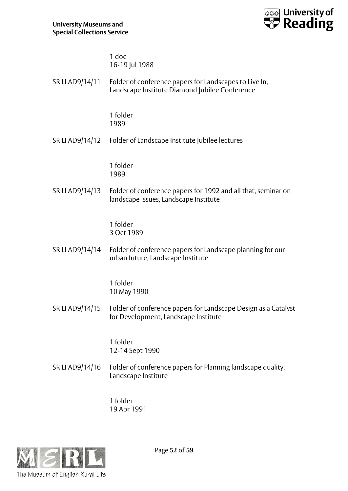![](_page_51_Picture_1.jpeg)

1 doc 16-19 Jul 1988

| SR LI AD9/14/11 | Folder of conference papers for Landscapes to Live In, |
|-----------------|--------------------------------------------------------|
|                 | Landscape Institute Diamond Jubilee Conference         |

1 folder 1989

SR LI AD9/14/12 Folder of Landscape Institute Jubilee lectures

1 folder 1989

SR LI AD9/14/13 Folder of conference papers for 1992 and all that, seminar on landscape issues, Landscape Institute

> 1 folder 3 Oct 1989

SR LI AD9/14/14 Folder of conference papers for Landscape planning for our urban future, Landscape Institute

> 1 folder 10 May 1990

SR LI AD9/14/15 Folder of conference papers for Landscape Design as a Catalyst for Development, Landscape Institute

> 1 folder 12-14 Sept 1990

SR LI AD9/14/16 Folder of conference papers for Planning landscape quality, Landscape Institute

> 1 folder 19 Apr 1991

![](_page_51_Picture_15.jpeg)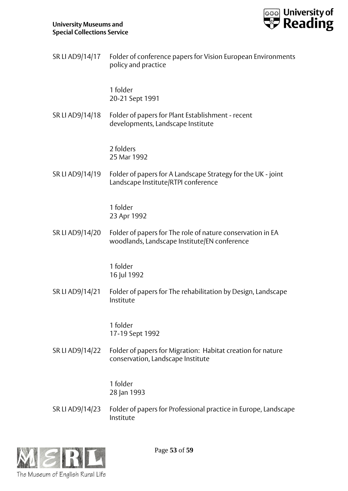![](_page_52_Picture_1.jpeg)

| SR LI AD9/14/17 Folder of conference papers for Vision European Environments |
|------------------------------------------------------------------------------|
| policy and practice                                                          |

1 folder 20-21 Sept 1991

SR LI AD9/14/18 Folder of papers for Plant Establishment - recent developments, Landscape Institute

> 2 folders 25 Mar 1992

SR LI AD9/14/19 Folder of papers for A Landscape Strategy for the UK - joint Landscape Institute/RTPI conference

> 1 folder 23 Apr 1992

SR LI AD9/14/20 Folder of papers for The role of nature conservation in EA woodlands, Landscape Institute/EN conference

> 1 folder 16 Jul 1992

SR LI AD9/14/21 Folder of papers for The rehabilitation by Design, Landscape Institute

> 1 folder 17-19 Sept 1992

SR LI AD9/14/22 Folder of papers for Migration: Habitat creation for nature conservation, Landscape Institute

> 1 folder 28 Jan 1993

SR LI AD9/14/23 Folder of papers for Professional practice in Europe, Landscape Institute

![](_page_52_Picture_15.jpeg)

Page **53** of **59**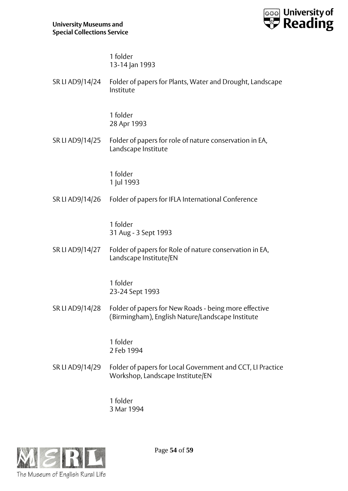![](_page_53_Picture_1.jpeg)

1 folder 13-14 Jan 1993

| SR LI AD9/14/24 Folder of papers for Plants, Water and Drought, Landscape |
|---------------------------------------------------------------------------|
| Institute                                                                 |

1 folder 28 Apr 1993

SR LI AD9/14/25 Folder of papers for role of nature conservation in EA, Landscape Institute

> 1 folder 1 Jul 1993

SR LI AD9/14/26 Folder of papers for IFLA International Conference

1 folder 31 Aug - 3 Sept 1993

SR LI AD9/14/27 Folder of papers for Role of nature conservation in EA, Landscape Institute/EN

> 1 folder 23-24 Sept 1993

SR LI AD9/14/28 Folder of papers for New Roads - being more effective (Birmingham), English Nature/Landscape Institute

> 1 folder 2 Feb 1994

SR LI AD9/14/29 Folder of papers for Local Government and CCT, LI Practice Workshop, Landscape Institute/EN

> 1 folder 3 Mar 1994

![](_page_53_Picture_15.jpeg)

Page **54** of **59**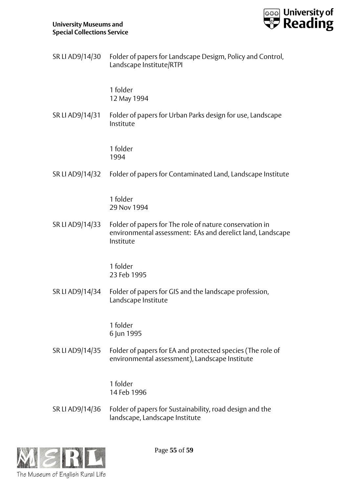![](_page_54_Picture_1.jpeg)

| SR LI AD9/14/30 Folder of papers for Landscape Desigm, Policy and Control, |
|----------------------------------------------------------------------------|
| Landscape Institute/RTPI                                                   |

1 folder 12 May 1994

SR LI AD9/14/31 Folder of papers for Urban Parks design for use, Landscape Institute

> 1 folder 1994

## SR LI AD9/14/32 Folder of papers for Contaminated Land, Landscape Institute

1 folder 29 Nov 1994

SR LI AD9/14/33 Folder of papers for The role of nature conservation in environmental assessment: EAs and derelict land, Landscape Institute

> 1 folder 23 Feb 1995

SR LI AD9/14/34 Folder of papers for GIS and the landscape profession, Landscape Institute

> 1 folder 6 Jun 1995

SR LI AD9/14/35 Folder of papers for EA and protected species (The role of environmental assessment), Landscape Institute

> 1 folder 14 Feb 1996

SR LI AD9/14/36 Folder of papers for Sustainability, road design and the landscape, Landscape Institute

![](_page_54_Picture_15.jpeg)

Page **55** of **59**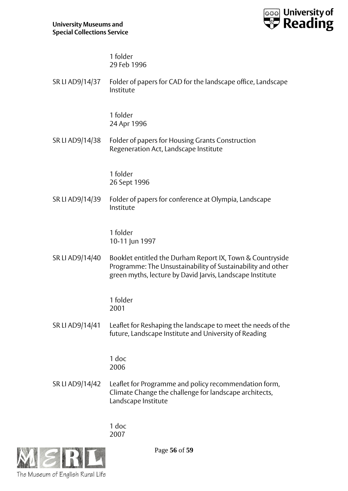![](_page_55_Picture_1.jpeg)

1 folder 29 Feb 1996

| SR LI AD9/14/37 Folder of papers for CAD for the landscape office, Landscape |
|------------------------------------------------------------------------------|
| Institute                                                                    |

1 folder 24 Apr 1996

SR LI AD9/14/38 Folder of papers for Housing Grants Construction Regeneration Act, Landscape Institute

> 1 folder 26 Sept 1996

SR LI AD9/14/39 Folder of papers for conference at Olympia, Landscape Institute

> 1 folder 10-11 Jun 1997

SR LI AD9/14/40 Booklet entitled the Durham Report IX, Town & Countryside Programme: The Unsustainability of Sustainability and other green myths, lecture by David Jarvis, Landscape Institute

> 1 folder 2001

SR LI AD9/14/41 Leaflet for Reshaping the landscape to meet the needs of the future, Landscape Institute and University of Reading

> 1 doc 2006

SR LI AD9/14/42 Leaflet for Programme and policy recommendation form, Climate Change the challenge for landscape architects, Landscape Institute

> 1 doc 2007

![](_page_55_Picture_15.jpeg)

Page **56** of **59**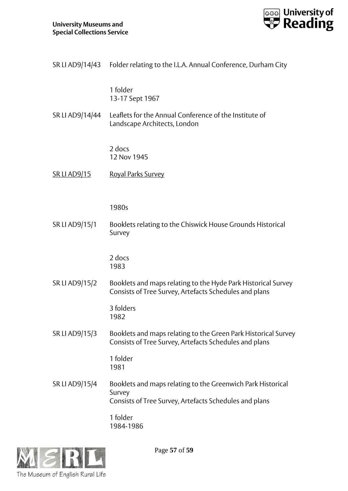![](_page_56_Picture_1.jpeg)

|                     | SR LI AD9/14/43 Folder relating to the I.L.A. Annual Conference, Durham City                                                    |
|---------------------|---------------------------------------------------------------------------------------------------------------------------------|
|                     | 1 folder<br>13-17 Sept 1967                                                                                                     |
| SR LI AD9/14/44     | Leaflets for the Annual Conference of the Institute of<br>Landscape Architects, London                                          |
|                     | 2 docs<br>12 Nov 1945                                                                                                           |
| <u>SR LI AD9/15</u> | <b>Royal Parks Survey</b>                                                                                                       |
|                     | 1980s                                                                                                                           |
| SR LI AD9/15/1      | Booklets relating to the Chiswick House Grounds Historical<br>Survey                                                            |
|                     | 2 docs<br>1983                                                                                                                  |
| SR LI AD9/15/2      | Booklets and maps relating to the Hyde Park Historical Survey<br>Consists of Tree Survey, Artefacts Schedules and plans         |
|                     | 3 folders<br>1982                                                                                                               |
| SR LI AD9/15/3      | Booklets and maps relating to the Green Park Historical Survey<br>Consists of Tree Survey, Artefacts Schedules and plans        |
|                     | 1 folder<br>1981                                                                                                                |
| SR LI AD9/15/4      | Booklets and maps relating to the Greenwich Park Historical<br>Survey<br>Consists of Tree Survey, Artefacts Schedules and plans |
|                     | 1 folder<br>1984-1986                                                                                                           |

![](_page_56_Picture_3.jpeg)

Page **57** of **59**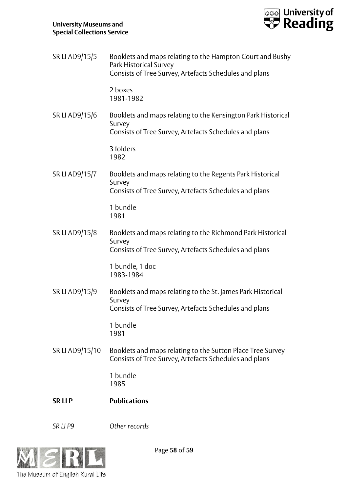![](_page_57_Picture_1.jpeg)

| SR LI AD9/15/5  | Booklets and maps relating to the Hampton Court and Bushy<br>Park Historical Survey<br>Consists of Tree Survey, Artefacts Schedules and plans |
|-----------------|-----------------------------------------------------------------------------------------------------------------------------------------------|
|                 | 2 boxes<br>1981-1982                                                                                                                          |
| SR LI AD9/15/6  | Booklets and maps relating to the Kensington Park Historical<br>Survey<br>Consists of Tree Survey, Artefacts Schedules and plans              |
|                 | 3 folders<br>1982                                                                                                                             |
| SR LI AD9/15/7  | Booklets and maps relating to the Regents Park Historical<br>Survey<br>Consists of Tree Survey, Artefacts Schedules and plans                 |
|                 | 1 bundle<br>1981                                                                                                                              |
| SR LI AD9/15/8  | Booklets and maps relating to the Richmond Park Historical<br>Survey<br>Consists of Tree Survey, Artefacts Schedules and plans                |
|                 | 1 bundle, 1 doc<br>1983-1984                                                                                                                  |
| SR LI AD9/15/9  | Booklets and maps relating to the St. James Park Historical<br>Survey<br>Consists of Tree Survey, Artefacts Schedules and plans               |
|                 | 1 bundle<br>1981                                                                                                                              |
| SR LI AD9/15/10 | Booklets and maps relating to the Sutton Place Tree Survey<br>Consists of Tree Survey, Artefacts Schedules and plans                          |
|                 | 1 bundle<br>1985                                                                                                                              |
| <b>SRLIP</b>    | <b>Publications</b>                                                                                                                           |

*SR LI P9 Other records*

![](_page_57_Picture_5.jpeg)

Page **58** of **59**